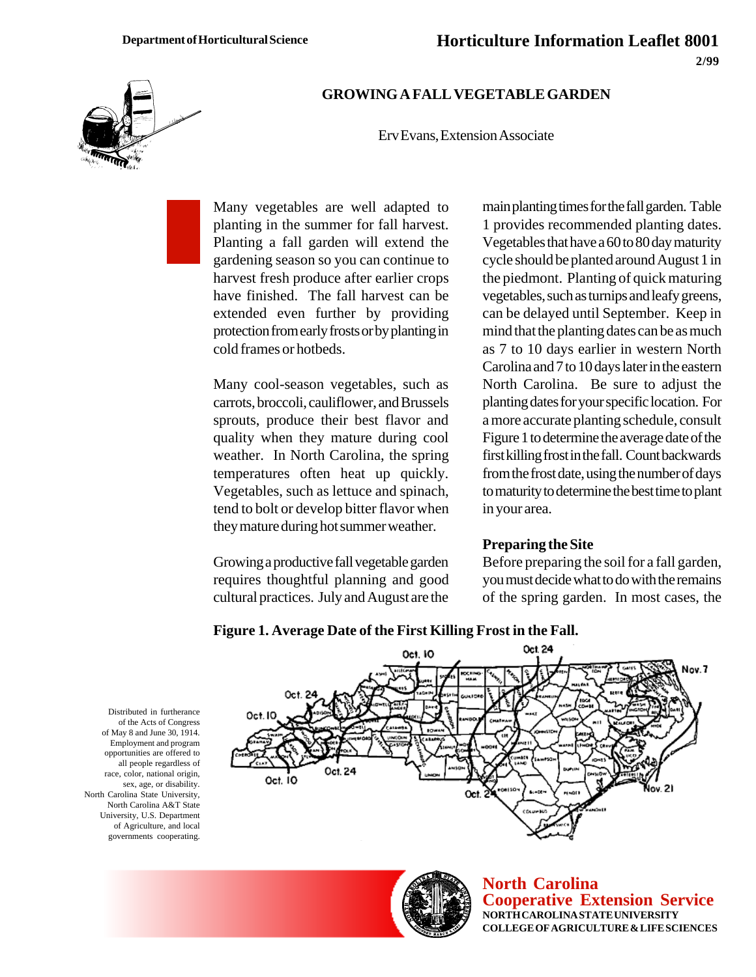

#### **GROWING A FALL VEGETABLE GARDEN**

Erv Evans, Extension Associate

Many vegetables are well adapted to planting in the summer for fall harvest. Planting a fall garden will extend the gardening season so you can continue to harvest fresh produce after earlier crops have finished. The fall harvest can be extended even further by providing protection from early frosts or by planting in cold frames or hotbeds.

Many cool-season vegetables, such as carrots, broccoli, cauliflower, and Brussels sprouts, produce their best flavor and quality when they mature during cool weather. In North Carolina, the spring temperatures often heat up quickly. Vegetables, such as lettuce and spinach, tend to bolt or develop bitter flavor when they mature during hot summer weather.

Growing a productive fall vegetable garden requires thoughtful planning and good cultural practices. July and August are the main planting times for the fall garden. Table 1 provides recommended planting dates. Vegetables that have a 60 to 80 day maturity cycle should be planted around August 1 in the piedmont. Planting of quick maturing vegetables, such as turnips and leafy greens, can be delayed until September. Keep in mind that the planting dates can be as much as 7 to 10 days earlier in western North Carolina and 7 to 10 days later in the eastern North Carolina. Be sure to adjust the planting dates for your specific location. For a more accurate planting schedule, consult Figure 1 to determine the average date of the first killing frost in the fall. Count backwards from the frost date, using the number of days to maturity to determine the best time to plant in your area.

#### **Preparing the Site**

Before preparing the soil for a fall garden, you must decide what to do with the remains of the spring garden. In most cases, the



**Figure 1. Average Date of the First Killing Frost in the Fall.**





**North Carolina Cooperative Extension Service NORTH CAROLINA STATE UNIVERSITY COLLEGE OF AGRICULTURE & LIFE SCIENCES**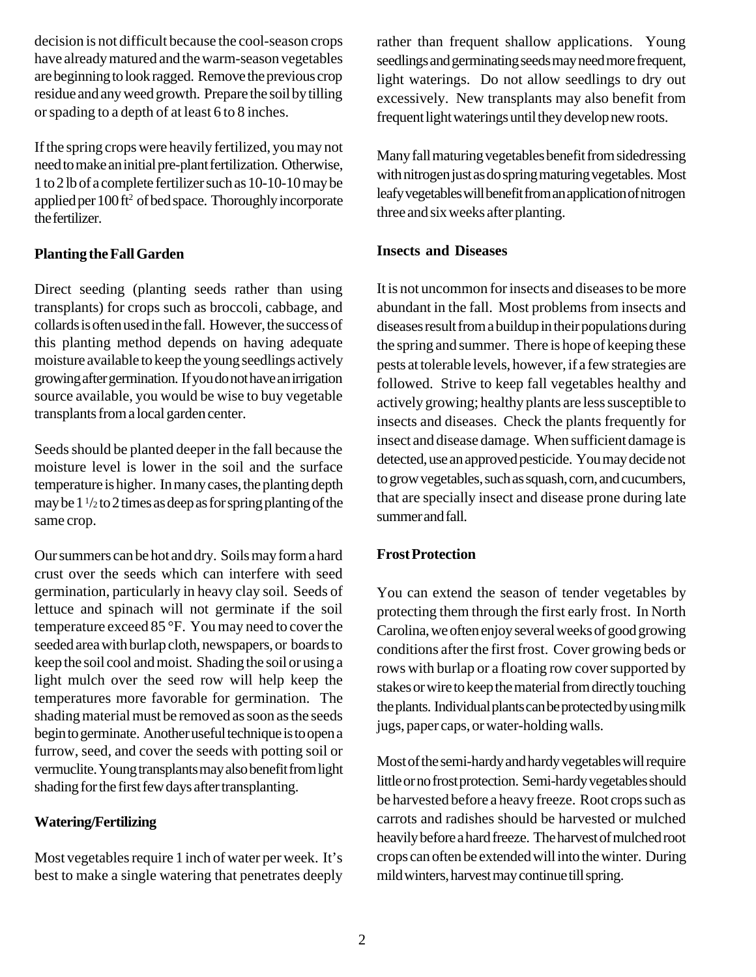decision is not difficult because the cool-season crops have already matured and the warm-season vegetables are beginning to look ragged. Remove the previous crop residue and any weed growth. Prepare the soil by tilling or spading to a depth of at least 6 to 8 inches.

If the spring crops were heavily fertilized, you may not need to make an initial pre-plant fertilization. Otherwise, 1 to 2 lb of a complete fertilizer such as 10-10-10 may be applied per 100 ft<sup>2</sup> of bed space. Thoroughly incorporate the fertilizer.

# **Planting the Fall Garden**

Direct seeding (planting seeds rather than using transplants) for crops such as broccoli, cabbage, and collards is often used in the fall. However, the success of this planting method depends on having adequate moisture available to keep the young seedlings actively growing after germination. If you do not have an irrigation source available, you would be wise to buy vegetable transplants from a local garden center.

Seeds should be planted deeper in the fall because the moisture level is lower in the soil and the surface temperature is higher. In many cases, the planting depth may be  $1\frac{1}{2}$  to 2 times as deep as for spring planting of the same crop.

Our summers can be hot and dry. Soils may form a hard crust over the seeds which can interfere with seed germination, particularly in heavy clay soil. Seeds of lettuce and spinach will not germinate if the soil temperature exceed 85 °F. You may need to cover the seeded area with burlap cloth, newspapers, or boards to keep the soil cool and moist. Shading the soil or using a light mulch over the seed row will help keep the temperatures more favorable for germination. The shading material must be removed as soon as the seeds begin to germinate. Another useful technique is to open a furrow, seed, and cover the seeds with potting soil or vermuclite. Young transplants may also benefit from light shading for the first few days after transplanting.

## **Watering/Fertilizing**

Most vegetables require 1 inch of water per week. It's best to make a single watering that penetrates deeply rather than frequent shallow applications. Young seedlings and germinating seeds may need more frequent, light waterings. Do not allow seedlings to dry out excessively. New transplants may also benefit from frequent light waterings until they develop new roots.

Many fall maturing vegetables benefit from sidedressing with nitrogen just as do spring maturing vegetables. Most leafy vegetables will benefit from an application of nitrogen three and six weeks after planting.

### **Insects and Diseases**

It is not uncommon for insects and diseases to be more abundant in the fall. Most problems from insects and diseases result from a buildup in their populations during the spring and summer. There is hope of keeping these pests at tolerable levels, however, if a few strategies are followed. Strive to keep fall vegetables healthy and actively growing; healthy plants are less susceptible to insects and diseases. Check the plants frequently for insect and disease damage. When sufficient damage is detected, use an approved pesticide. You may decide not to grow vegetables, such as squash, corn, and cucumbers, that are specially insect and disease prone during late summer and fall.

## **Frost Protection**

You can extend the season of tender vegetables by protecting them through the first early frost. In North Carolina, we often enjoy several weeks of good growing conditions after the first frost. Cover growing beds or rows with burlap or a floating row cover supported by stakes or wire to keep the material from directly touching the plants. Individual plants can be protected by using milk jugs, paper caps, or water-holding walls.

Most of the semi-hardy and hardy vegetables will require little or no frost protection. Semi-hardy vegetables should be harvested before a heavy freeze. Root crops such as carrots and radishes should be harvested or mulched heavily before a hard freeze. The harvest of mulched root crops can often be extended will into the winter. During mild winters, harvest may continue till spring.